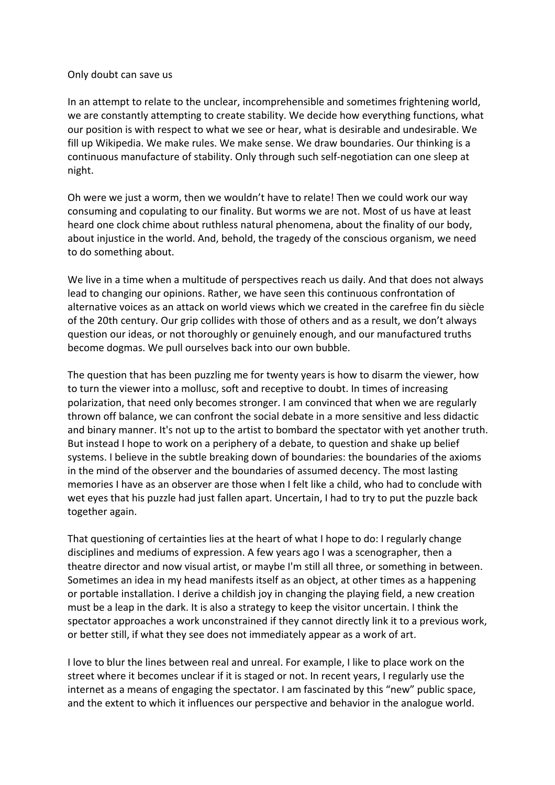## Only doubt can save us

In an attempt to relate to the unclear, incomprehensible and sometimes frightening world, we are constantly attempting to create stability. We decide how everything functions, what our position is with respect to what we see or hear, what is desirable and undesirable. We fill up Wikipedia. We make rules. We make sense. We draw boundaries. Our thinking is a continuous manufacture of stability. Only through such self-negotiation can one sleep at night. 

Oh were we just a worm, then we wouldn't have to relate! Then we could work our way consuming and copulating to our finality. But worms we are not. Most of us have at least heard one clock chime about ruthless natural phenomena, about the finality of our body, about injustice in the world. And, behold, the tragedy of the conscious organism, we need to do something about.

We live in a time when a multitude of perspectives reach us daily. And that does not always lead to changing our opinions. Rather, we have seen this continuous confrontation of alternative voices as an attack on world views which we created in the carefree fin du siècle of the 20th century. Our grip collides with those of others and as a result, we don't always question our ideas, or not thoroughly or genuinely enough, and our manufactured truths become dogmas. We pull ourselves back into our own bubble.

The question that has been puzzling me for twenty years is how to disarm the viewer, how to turn the viewer into a mollusc, soft and receptive to doubt. In times of increasing polarization, that need only becomes stronger. I am convinced that when we are regularly thrown off balance, we can confront the social debate in a more sensitive and less didactic and binary manner. It's not up to the artist to bombard the spectator with yet another truth. But instead I hope to work on a periphery of a debate, to question and shake up belief systems. I believe in the subtle breaking down of boundaries: the boundaries of the axioms in the mind of the observer and the boundaries of assumed decency. The most lasting memories I have as an observer are those when I felt like a child, who had to conclude with wet eyes that his puzzle had just fallen apart. Uncertain, I had to try to put the puzzle back together again.

That questioning of certainties lies at the heart of what I hope to do: I regularly change disciplines and mediums of expression. A few years ago I was a scenographer, then a theatre director and now visual artist, or maybe I'm still all three, or something in between. Sometimes an idea in my head manifests itself as an object, at other times as a happening or portable installation. I derive a childish joy in changing the playing field, a new creation must be a leap in the dark. It is also a strategy to keep the visitor uncertain. I think the spectator approaches a work unconstrained if they cannot directly link it to a previous work, or better still, if what they see does not immediately appear as a work of art.

I love to blur the lines between real and unreal. For example, I like to place work on the street where it becomes unclear if it is staged or not. In recent years, I regularly use the internet as a means of engaging the spectator. I am fascinated by this "new" public space, and the extent to which it influences our perspective and behavior in the analogue world.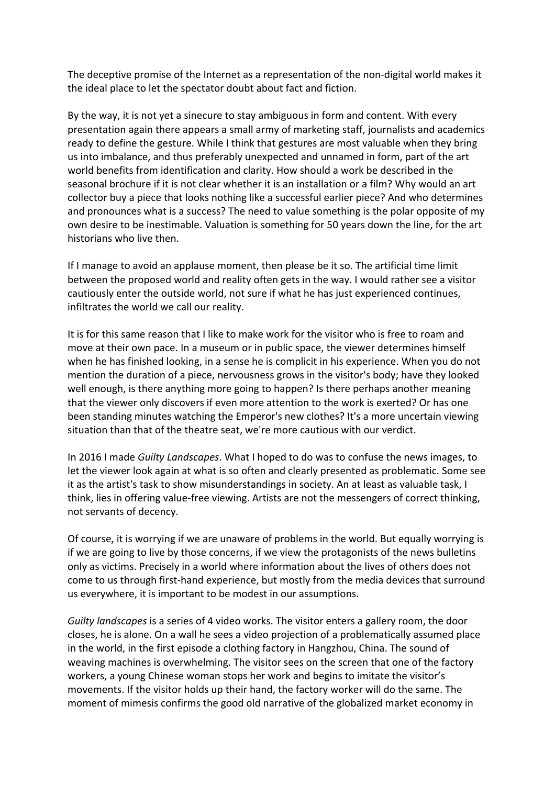The deceptive promise of the Internet as a representation of the non-digital world makes it the ideal place to let the spectator doubt about fact and fiction.

By the way, it is not yet a sinecure to stay ambiguous in form and content. With every presentation again there appears a small army of marketing staff, journalists and academics ready to define the gesture. While I think that gestures are most valuable when they bring us into imbalance, and thus preferably unexpected and unnamed in form, part of the art world benefits from identification and clarity. How should a work be described in the seasonal brochure if it is not clear whether it is an installation or a film? Why would an art collector buy a piece that looks nothing like a successful earlier piece? And who determines and pronounces what is a success? The need to value something is the polar opposite of my own desire to be inestimable. Valuation is something for 50 years down the line, for the art historians who live then.

If I manage to avoid an applause moment, then please be it so. The artificial time limit between the proposed world and reality often gets in the way. I would rather see a visitor cautiously enter the outside world, not sure if what he has just experienced continues, infiltrates the world we call our reality.

It is for this same reason that I like to make work for the visitor who is free to roam and move at their own pace. In a museum or in public space, the viewer determines himself when he has finished looking, in a sense he is complicit in his experience. When you do not mention the duration of a piece, nervousness grows in the visitor's body; have they looked well enough, is there anything more going to happen? Is there perhaps another meaning that the viewer only discovers if even more attention to the work is exerted? Or has one been standing minutes watching the Emperor's new clothes? It's a more uncertain viewing situation than that of the theatre seat, we're more cautious with our verdict.

In 2016 I made *Guilty Landscapes*. What I hoped to do was to confuse the news images, to let the viewer look again at what is so often and clearly presented as problematic. Some see it as the artist's task to show misunderstandings in society. An at least as valuable task, I think, lies in offering value-free viewing. Artists are not the messengers of correct thinking, not servants of decency.

Of course, it is worrying if we are unaware of problems in the world. But equally worrying is if we are going to live by those concerns, if we view the protagonists of the news bulletins only as victims. Precisely in a world where information about the lives of others does not come to us through first-hand experience, but mostly from the media devices that surround us everywhere, it is important to be modest in our assumptions.

*Guilty landscapes* is a series of 4 video works. The visitor enters a gallery room, the door closes, he is alone. On a wall he sees a video projection of a problematically assumed place in the world, in the first episode a clothing factory in Hangzhou, China. The sound of weaving machines is overwhelming. The visitor sees on the screen that one of the factory workers, a young Chinese woman stops her work and begins to imitate the visitor's movements. If the visitor holds up their hand, the factory worker will do the same. The moment of mimesis confirms the good old narrative of the globalized market economy in